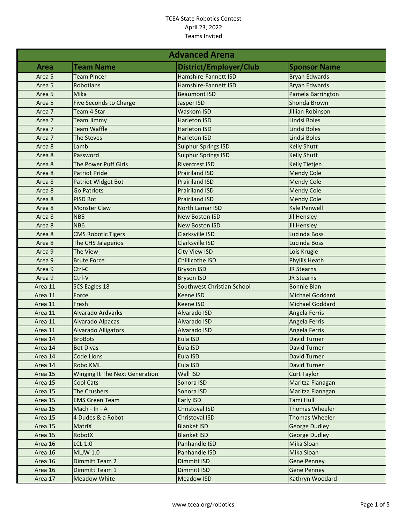| <b>Advanced Arena</b> |                                       |                            |                         |
|-----------------------|---------------------------------------|----------------------------|-------------------------|
| <b>Area</b>           | <b>Team Name</b>                      | District/Employer/Club     | <b>Sponsor Name</b>     |
| Area 5                | <b>Team Pincer</b>                    | Hamshire-Fannett ISD       | <b>Bryan Edwards</b>    |
| Area 5                | Robotians                             | Hamshire-Fannett ISD       | <b>Bryan Edwards</b>    |
| Area 5                | Mika                                  | <b>Beaumont ISD</b>        | Pamela Barrington       |
| Area 5                | <b>Five Seconds to Charge</b>         | Jasper ISD                 | Shonda Brown            |
| Area 7                | Team 4 Star                           | <b>Waskom ISD</b>          | <b>Jillian Robinson</b> |
| Area 7                | <b>Team Jimmy</b>                     | <b>Harleton ISD</b>        | Lindsi Boles            |
| Area 7                | <b>Team Waffle</b>                    | <b>Harleton ISD</b>        | Lindsi Boles            |
| Area 7                | <b>The Steves</b>                     | <b>Harleton ISD</b>        | Lindsi Boles            |
| Area 8                | Lamb                                  | <b>Sulphur Springs ISD</b> | <b>Kelly Shutt</b>      |
| Area 8                | Password                              | <b>Sulphur Springs ISD</b> | <b>Kelly Shutt</b>      |
| Area 8                | The Power Puff Girls                  | <b>Rivercrest ISD</b>      | <b>Kelly Tietjen</b>    |
| Area 8                | <b>Patriot Pride</b>                  | <b>Prairiland ISD</b>      | <b>Mendy Cole</b>       |
| Area 8                | Patriot Widget Bot                    | <b>Prairiland ISD</b>      | <b>Mendy Cole</b>       |
| Area 8                | <b>Go Patriots</b>                    | <b>Prairiland ISD</b>      | <b>Mendy Cole</b>       |
| Area 8                | <b>PISD Bot</b>                       | <b>Prairiland ISD</b>      | <b>Mendy Cole</b>       |
| Area 8                | <b>Monster Claw</b>                   | North Lamar ISD            | <b>Kyle Penwell</b>     |
| Area 8                | NB5                                   | <b>New Boston ISD</b>      | Jil Hensley             |
| Area 8                | NB <sub>6</sub>                       | <b>New Boston ISD</b>      | Jil Hensley             |
| Area 8                | <b>CMS Robotic Tigers</b>             | Clarksville ISD            | <b>Lucinda Boss</b>     |
| Area 8                | The CHS Jalapeños                     | Clarksville ISD            | Lucinda Boss            |
| Area 9                | The View                              | <b>City View ISD</b>       | Lois Krugle             |
| Area 9                | <b>Brute Force</b>                    | <b>Chillicothe ISD</b>     | <b>Phyllis Heath</b>    |
| Area 9                | Ctrl-C                                | <b>Bryson ISD</b>          | <b>JR Stearns</b>       |
| Area 9                | Ctrl-V                                | <b>Bryson ISD</b>          | <b>JR Stearns</b>       |
| Area 11               | SCS Eagles 18                         | Southwest Christian School | <b>Bonnie Blan</b>      |
| Area 11               | Force                                 | <b>Keene ISD</b>           | Michael Goddard         |
| Area 11               | Fresh                                 | Keene ISD                  | Michael Goddard         |
| Area 11               | <b>Alvarado Ardvarks</b>              | Alvarado ISD               | Angela Ferris           |
| Area 11               | Alvarado Alpacas                      | Alvarado ISD               | Angela Ferris           |
| Area 11               | <b>Alvarado Alligators</b>            | Alvarado ISD               | Angela Ferris           |
| Area 14               | <b>BroBots</b>                        | Eula ISD                   | <b>David Turner</b>     |
| Area 14               | <b>Bot Divas</b>                      | Eula ISD                   | <b>David Turner</b>     |
| Area 14               | Code Lions                            | Eula ISD                   | <b>David Turner</b>     |
| Area 14               | Robo KML                              | Eula ISD                   | <b>David Turner</b>     |
| Area 15               | <b>Winging It The Next Generation</b> | Wall ISD                   | <b>Curt Taylor</b>      |
| Area 15               | <b>Cool Cats</b>                      | Sonora ISD                 | Maritza Flanagan        |
| Area 15               | <b>The Crushers</b>                   | Sonora ISD                 | Maritza Flanagan        |
| Area 15               | <b>EMS Green Team</b>                 | Early ISD                  | Tami Hull               |
| Area 15               | Mach - In - A                         | Christoval ISD             | Thomas Wheeler          |
| Area 15               | 4 Dudes & a Robot                     | Christoval ISD             | Thomas Wheeler          |
| Area 15               | MatriX                                | <b>Blanket ISD</b>         | <b>George Dudley</b>    |
| Area 15               | RobotX                                | <b>Blanket ISD</b>         | <b>George Dudley</b>    |
| Area 16               | <b>LCL 1.0</b>                        | Panhandle ISD              | Mika Sloan              |
| Area 16               | <b>MLJW 1.0</b>                       | Panhandle ISD              | Mika Sloan              |
| Area 16               | Dimmitt Team 2                        | <b>Dimmitt ISD</b>         | <b>Gene Penney</b>      |
| Area 16               | Dimmitt Team 1                        | Dimmitt ISD                | <b>Gene Penney</b>      |
| Area 17               | <b>Meadow White</b>                   | Meadow ISD                 | Kathryn Woodard         |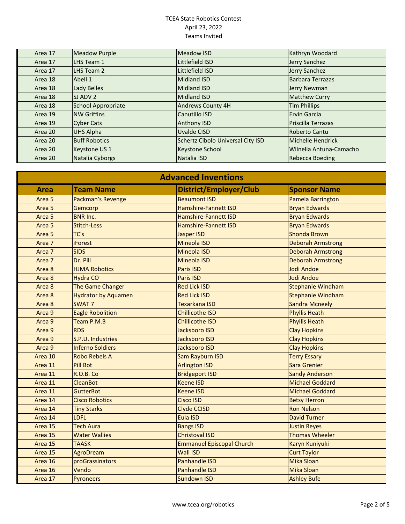| Area 17 | <b>Meadow Purple</b> | <b>Meadow ISD</b>                 | Kathryn Woodard         |
|---------|----------------------|-----------------------------------|-------------------------|
| Area 17 | LHS Team 1           | Littlefield ISD                   | Jerry Sanchez           |
| Area 17 | LHS Team 2           | Littlefield ISD                   | Jerry Sanchez           |
| Area 18 | Abell 1              | <b>Midland ISD</b>                | <b>Barbara Terrazas</b> |
| Area 18 | <b>Lady Belles</b>   | <b>Midland ISD</b>                | Jerry Newman            |
| Area 18 | SJ ADV 2             | <b>Midland ISD</b>                | <b>Matthew Curry</b>    |
| Area 18 | School Appropriate   | <b>Andrews County 4H</b>          | <b>Tim Phillips</b>     |
| Area 19 | <b>NW Griffins</b>   | Canutillo ISD                     | <b>Ervin Garcia</b>     |
| Area 19 | <b>Cyber Cats</b>    | <b>Anthony ISD</b>                | Priscilla Terrazas      |
| Area 20 | <b>UHS Alpha</b>     | Uvalde CISD                       | Roberto Cantu           |
| Area 20 | <b>Buff Robotics</b> | Schertz Cibolo Universal City ISD | Michelle Hendrick       |
| Area 20 | Keystone US 1        | Keystone School                   | Wilnelia Antuna-Camacho |
| Area 20 | Natalia Cyborgs      | Natalia ISD                       | <b>Rebecca Boeding</b>  |

| <b>Advanced Inventions</b> |                            |                                  |                          |
|----------------------------|----------------------------|----------------------------------|--------------------------|
| <b>Area</b>                | <b>Team Name</b>           | District/Employer/Club           | <b>Sponsor Name</b>      |
| Area <sub>5</sub>          | Packman's Revenge          | <b>Beaumont ISD</b>              | Pamela Barrington        |
| Area <sub>5</sub>          | Gemcorp                    | <b>Hamshire-Fannett ISD</b>      | <b>Bryan Edwards</b>     |
| Area <sub>5</sub>          | <b>BNR Inc.</b>            | <b>Hamshire-Fannett ISD</b>      | <b>Bryan Edwards</b>     |
| Area <sub>5</sub>          | <b>Stitch-Less</b>         | <b>Hamshire-Fannett ISD</b>      | <b>Bryan Edwards</b>     |
| Area <sub>5</sub>          | TC's                       | <b>Jasper ISD</b>                | <b>Shonda Brown</b>      |
| Area 7                     | <b>iForest</b>             | <b>Mineola ISD</b>               | <b>Deborah Armstrong</b> |
| Area 7                     | <b>SIDS</b>                | <b>Mineola ISD</b>               | <b>Deborah Armstrong</b> |
| Area 7                     | Dr. Pill                   | <b>Mineola ISD</b>               | <b>Deborah Armstrong</b> |
| Area 8                     | <b>HJMA Robotics</b>       | <b>Paris ISD</b>                 | Jodi Andoe               |
| Area 8                     | <b>Hydra CO</b>            | Paris ISD                        | Jodi Andoe               |
| Area 8                     | The Game Changer           | <b>Red Lick ISD</b>              | <b>Stephanie Windham</b> |
| Area 8                     | <b>Hydrator by Aquamen</b> | <b>Red Lick ISD</b>              | <b>Stephanie Windham</b> |
| Area 8                     | <b>SWAT 7</b>              | <b>Texarkana ISD</b>             | <b>Sandra Mcneely</b>    |
| Area 9                     | <b>Eagle Robolition</b>    | <b>Chillicothe ISD</b>           | <b>Phyllis Heath</b>     |
| Area 9                     | Team P.M.B                 | <b>Chillicothe ISD</b>           | <b>Phyllis Heath</b>     |
| Area 9                     | <b>RDS</b>                 | <b>Jacksboro ISD</b>             | <b>Clay Hopkins</b>      |
| Area 9                     | S.P.U. Industries          | <b>Jacksboro ISD</b>             | <b>Clay Hopkins</b>      |
| Area 9                     | <b>Inferno Soldiers</b>    | <b>Jacksboro ISD</b>             | <b>Clay Hopkins</b>      |
| Area 10                    | <b>Robo Rebels A</b>       | <b>Sam Rayburn ISD</b>           | <b>Terry Essary</b>      |
| Area 11                    | <b>Pill Bot</b>            | <b>Arlington ISD</b>             | Sara Grenier             |
| Area 11                    | R.O.B. Co                  | <b>Bridgeport ISD</b>            | <b>Sandy Anderson</b>    |
| Area 11                    | <b>CleanBot</b>            | <b>Keene ISD</b>                 | <b>Michael Goddard</b>   |
| Area 11                    | <b>GutterBot</b>           | <b>Keene ISD</b>                 | <b>Michael Goddard</b>   |
| Area 14                    | <b>Cisco Robotics</b>      | <b>Cisco ISD</b>                 | <b>Betsy Herron</b>      |
| Area 14                    | <b>Tiny Starks</b>         | <b>Clyde CCISD</b>               | <b>Ron Nelson</b>        |
| Area 14                    | <b>LDFL</b>                | Eula ISD                         | <b>David Turner</b>      |
| Area 15                    | <b>Tech Aura</b>           | <b>Bangs ISD</b>                 | <b>Justin Reyes</b>      |
| Area 15                    | <b>Water Wallies</b>       | <b>Christoval ISD</b>            | <b>Thomas Wheeler</b>    |
| Area 15                    | <b>TAASK</b>               | <b>Emmanuel Episcopal Church</b> | Karyn Kuniyuki           |
| Area 15                    | AgroDream                  | <b>Wall ISD</b>                  | <b>Curt Taylor</b>       |
| Area 16                    | proGrassinators            | <b>Panhandle ISD</b>             | <b>Mika Sloan</b>        |
| Area 16                    | Vendo                      | <b>Panhandle ISD</b>             | <b>Mika Sloan</b>        |
| Area 17                    | Pyroneers                  | <b>Sundown ISD</b>               | <b>Ashley Bufe</b>       |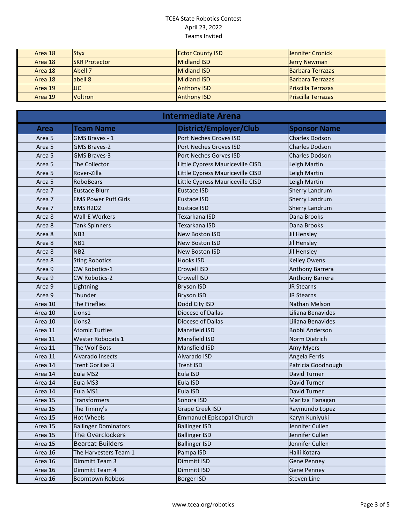| Area 18 | <b>Styx</b>          | <b>Ector County ISD</b> | <b>Jennifer Cronick</b>    |
|---------|----------------------|-------------------------|----------------------------|
| Area 18 | <b>SKR Protector</b> | Midland ISD             | <b>Jerry Newman</b>        |
| Area 18 | Abell 7              | Midland ISD             | <b>Barbara Terrazas</b>    |
| Area 18 | abell 8              | Midland ISD             | <b>Barbara Terrazas</b>    |
| Area 19 | <b>JJC</b>           | <b>Anthony ISD</b>      | <b>Priscilla Terrazas</b>  |
| Area 19 | <b>Voltron</b>       | <b>Anthony ISD</b>      | <b>IPriscilla Terrazas</b> |

| <b>Intermediate Arena</b> |                             |                                  |                        |
|---------------------------|-----------------------------|----------------------------------|------------------------|
| <b>Area</b>               | <b>Team Name</b>            | District/Employer/Club           | <b>Sponsor Name</b>    |
| Area <sub>5</sub>         | GMS Braves - 1              | Port Neches Groves ISD           | <b>Charles Dodson</b>  |
| Area <sub>5</sub>         | <b>GMS Braves-2</b>         | Port Neches Groves ISD           | <b>Charles Dodson</b>  |
| Area 5                    | <b>GMS Braves-3</b>         | Port Neches Gorves ISD           | <b>Charles Dodson</b>  |
| Area 5                    | The Collector               | Little Cypress Mauriceville CISD | Leigh Martin           |
| Area 5                    | Rover-Zilla                 | Little Cypress Mauriceville CISD | Leigh Martin           |
| Area <sub>5</sub>         | <b>RoboBears</b>            | Little Cypress Mauriceville CISD | Leigh Martin           |
| Area 7                    | <b>Eustace Blurr</b>        | <b>Eustace ISD</b>               | <b>Sherry Landrum</b>  |
| Area 7                    | <b>EMS Power Puff Girls</b> | <b>Eustace ISD</b>               | <b>Sherry Landrum</b>  |
| Area 7                    | EMS R2D2                    | Eustace ISD                      | <b>Sherry Landrum</b>  |
| Area 8                    | <b>Wall-E Workers</b>       | Texarkana ISD                    | Dana Brooks            |
| Area 8                    | <b>Tank Spinners</b>        | Texarkana ISD                    | Dana Brooks            |
| Area 8                    | NB <sub>3</sub>             | New Boston ISD                   | Jil Hensley            |
| Area 8                    | NB1                         | New Boston ISD                   | Jil Hensley            |
| Area 8                    | NB <sub>2</sub>             | New Boston ISD                   | Jil Hensley            |
| Area 8                    | <b>Sting Robotics</b>       | <b>Hooks ISD</b>                 | <b>Kelley Owens</b>    |
| Area 9                    | <b>CW Robotics-1</b>        | Crowell ISD                      | <b>Anthony Barrera</b> |
| Area 9                    | <b>CW Robotics-2</b>        | Crowell ISD                      | Anthony Barrera        |
| Area 9                    | Lightning                   | <b>Bryson ISD</b>                | JR Stearns             |
| Area 9                    | Thunder                     | <b>Bryson ISD</b>                | <b>JR Stearns</b>      |
| Area 10                   | The Fireflies               | Dodd City ISD                    | Nathan Melson          |
| Area 10                   | Lions1                      | Diocese of Dallas                | Liliana Benavides      |
| Area 10                   | Lions <sub>2</sub>          | Diocese of Dallas                | Liliana Benavides      |
| Area 11                   | <b>Atomic Turtles</b>       | Mansfield ISD                    | <b>Bobbi Anderson</b>  |
| Area 11                   | <b>Wester Robocats 1</b>    | Mansfield ISD                    | Norm Dietrich          |
| Area 11                   | The Wolf Bots               | Mansfield ISD                    | <b>Amy Myers</b>       |
| Area 11                   | Alvarado Insects            | Alvarado ISD                     | Angela Ferris          |
| Area 14                   | <b>Trent Gorillas 3</b>     | <b>Trent ISD</b>                 | Patricia Goodnough     |
| Area 14                   | Eula MS2                    | Eula ISD                         | David Turner           |
| Area 14                   | Eula MS3                    | Eula ISD                         | David Turner           |
| Area 14                   | Eula MS1                    | Eula ISD                         | David Turner           |
| Area 15                   | Transformers                | Sonora ISD                       | Maritza Flanagan       |
| Area 15                   | The Timmy's                 | <b>Grape Creek ISD</b>           | Raymundo Lopez         |
| Area 15                   | Hot Wheels                  | <b>Emmanuel Episcopal Church</b> | Karyn Kuniyuki         |
| Area 15                   | <b>Ballinger Dominators</b> | <b>Ballinger ISD</b>             | Jennifer Cullen        |
| Area 15                   | The Overclockers            | <b>Ballinger ISD</b>             | Jennifer Cullen        |
| Area 15                   | <b>Bearcat Builders</b>     | <b>Ballinger ISD</b>             | Jennifer Cullen        |
| Area 16                   | The Harvesters Team 1       | Pampa ISD                        | Haili Kotara           |
| Area 16                   | Dimmitt Team 3              | Dimmitt ISD                      | Gene Penney            |
| Area 16                   | Dimmitt Team 4              | Dimmitt ISD                      | <b>Gene Penney</b>     |
| Area 16                   | <b>Boomtown Robbos</b>      | Borger ISD                       | Steven Line            |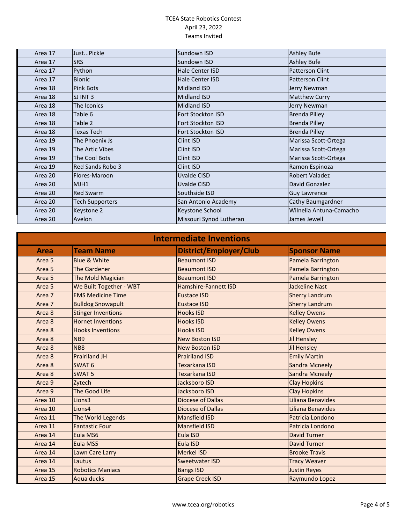| Area 17 | JustPickle             | Sundown ISD              | <b>Ashley Bufe</b>      |
|---------|------------------------|--------------------------|-------------------------|
| Area 17 | <b>SRS</b>             | Sundown ISD              | <b>Ashley Bufe</b>      |
| Area 17 | Python                 | Hale Center ISD          | <b>Patterson Clint</b>  |
| Area 17 | <b>Bionic</b>          | Hale Center ISD          | <b>Patterson Clint</b>  |
| Area 18 | Pink Bots              | <b>Midland ISD</b>       | Jerry Newman            |
| Area 18 | SJ INT 3               | <b>Midland ISD</b>       | <b>Matthew Curry</b>    |
| Area 18 | The Iconics            | <b>Midland ISD</b>       | Jerry Newman            |
| Area 18 | Table 6                | Fort Stockton ISD        | <b>Brenda Pilley</b>    |
| Area 18 | Table 2                | <b>Fort Stockton ISD</b> | <b>Brenda Pilley</b>    |
| Area 18 | Texas Tech             | Fort Stockton ISD        | <b>Brenda Pilley</b>    |
| Area 19 | The Phoenix Js         | Clint ISD                | Marissa Scott-Ortega    |
| Area 19 | The Artic Vibes        | Clint ISD                | Marissa Scott-Ortega    |
| Area 19 | The Cool Bots          | Clint ISD                | Marissa Scott-Ortega    |
| Area 19 | Red Sands Robo 3       | Clint ISD                | Ramon Espinoza          |
| Area 20 | Flores-Maroon          | Uvalde CISD              | <b>Robert Valadez</b>   |
| Area 20 | MJH1                   | Uvalde CISD              | David Gonzalez          |
| Area 20 | Red Swarm              | Southside ISD            | <b>Guy Lawrence</b>     |
| Area 20 | <b>Tech Supporters</b> | San Antonio Academy      | Cathy Baumgardner       |
| Area 20 | Keystone 2             | <b>Keystone School</b>   | Wilnelia Antuna-Camacho |
| Area 20 | Avelon                 | Missouri Synod Lutheran  | James Jewell            |

| <b>Intermediate Inventions</b> |                           |                          |                       |
|--------------------------------|---------------------------|--------------------------|-----------------------|
| <b>Area</b>                    | <b>Team Name</b>          | District/Employer/Club   | <b>Sponsor Name</b>   |
| Area <sub>5</sub>              | <b>Blue &amp; White</b>   | <b>Beaumont ISD</b>      | Pamela Barrington     |
| Area <sub>5</sub>              | <b>The Gardener</b>       | <b>Beaumont ISD</b>      | Pamela Barrington     |
| Area 5                         | The Mold Magician         | <b>Beaumont ISD</b>      | Pamela Barrington     |
| Area 5                         | We Built Together - WBT   | Hamshire-Fannett ISD     | <b>Jackeline Nast</b> |
| Area 7                         | <b>EMS Medicine Time</b>  | <b>Eustace ISD</b>       | <b>Sherry Landrum</b> |
| Area 7                         | <b>Bulldog Snowapult</b>  | <b>Eustace ISD</b>       | <b>Sherry Landrum</b> |
| Area 8                         | <b>Stinger Inventions</b> | <b>Hooks ISD</b>         | <b>Kelley Owens</b>   |
| Area 8                         | <b>Hornet Inventions</b>  | <b>Hooks ISD</b>         | <b>Kelley Owens</b>   |
| Area 8                         | <b>Hooks Inventions</b>   | <b>Hooks ISD</b>         | <b>Kelley Owens</b>   |
| Area 8                         | N <sub>B</sub> 9          | <b>New Boston ISD</b>    | <b>Jil Hensley</b>    |
| Area 8                         | <b>NB8</b>                | <b>New Boston ISD</b>    | Jil Hensley           |
| Area 8                         | <b>Prairiland JH</b>      | <b>Prairiland ISD</b>    | <b>Emily Martin</b>   |
| Area 8                         | SWAT <sub>6</sub>         | <b>Texarkana ISD</b>     | <b>Sandra Mcneely</b> |
| Area 8                         | <b>SWAT 5</b>             | Texarkana ISD            | <b>Sandra Mcneely</b> |
| Area 9                         | Zytech                    | Jacksboro ISD            | <b>Clay Hopkins</b>   |
| Area 9                         | <b>The Good Life</b>      | Jacksboro ISD            | <b>Clay Hopkins</b>   |
| Area 10                        | Lions3                    | <b>Diocese of Dallas</b> | Liliana Benavides     |
| Area 10                        | Lions4                    | <b>Diocese of Dallas</b> | Liliana Benavides     |
| Area 11                        | The World Legends         | <b>Mansfield ISD</b>     | Patricia Londono      |
| Area 11                        | <b>Fantastic Four</b>     | <b>Mansfield ISD</b>     | Patricia Londono      |
| Area 14                        | Eula MS6                  | Eula ISD                 | <b>David Turner</b>   |
| Area 14                        | Eula MS5                  | Eula ISD                 | <b>David Turner</b>   |
| Area 14                        | Lawn Care Larry           | <b>Merkel ISD</b>        | <b>Brooke Travis</b>  |
| Area 14                        | Lautus                    | <b>Sweetwater ISD</b>    | <b>Tracy Weaver</b>   |
| Area 15                        | <b>Robotics Maniacs</b>   | <b>Bangs ISD</b>         | <b>Justin Reyes</b>   |
| Area 15                        | Aqua ducks                | <b>Grape Creek ISD</b>   | Raymundo Lopez        |